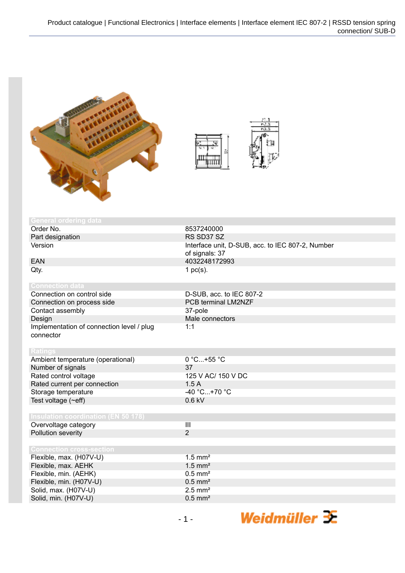



| <b>General ordering data</b>               |                                                  |
|--------------------------------------------|--------------------------------------------------|
| Order No.                                  | 8537240000                                       |
| Part designation                           | RS SD37 SZ                                       |
| Version                                    | Interface unit, D-SUB, acc. to IEC 807-2, Number |
|                                            | of signals: 37                                   |
| <b>EAN</b>                                 | 4032248172993                                    |
| Qty.                                       | 1 $pc(s)$ .                                      |
|                                            |                                                  |
| <b>Connection data</b>                     |                                                  |
| Connection on control side                 | D-SUB, acc. to IEC 807-2                         |
| Connection on process side                 | PCB terminal LM2NZF                              |
| Contact assembly                           | 37-pole                                          |
| Design                                     | Male connectors                                  |
| Implementation of connection level / plug  | 1:1                                              |
| connector                                  |                                                  |
|                                            |                                                  |
| <b>Ratings</b>                             |                                                  |
| Ambient temperature (operational)          | $0 °C+55 °C$                                     |
| Number of signals                          | 37                                               |
| Rated control voltage                      | 125 V AC/ 150 V DC                               |
| Rated current per connection               | 1.5A                                             |
| Storage temperature                        | $-40 °C+70 °C$                                   |
| Test voltage $(\sim eff)$                  | $0.6$ kV                                         |
|                                            |                                                  |
| <b>Insulation coordination (EN 50 178)</b> |                                                  |
| Overvoltage category                       | $\overline{\mathbf{III}}$                        |
| Pollution severity                         | $\overline{2}$                                   |
|                                            |                                                  |
| <b>Connection cross-section</b>            |                                                  |
| Flexible, max. (H07V-U)                    | $1.5$ mm <sup>2</sup>                            |
| Flexible, max. AEHK                        | $1.5$ mm <sup>2</sup>                            |
| Flexible, min. (AEHK)                      | $0.5$ mm <sup>2</sup>                            |
| Flexible, min. (H07V-U)                    | $0.5$ mm <sup>2</sup>                            |
| Solid, max. (H07V-U)                       | $2.5$ mm <sup>2</sup>                            |
| Solid, min. (H07V-U)                       | $0.5$ mm <sup>2</sup>                            |

Weidmüller  $\mathcal{\mathcal{F}}$